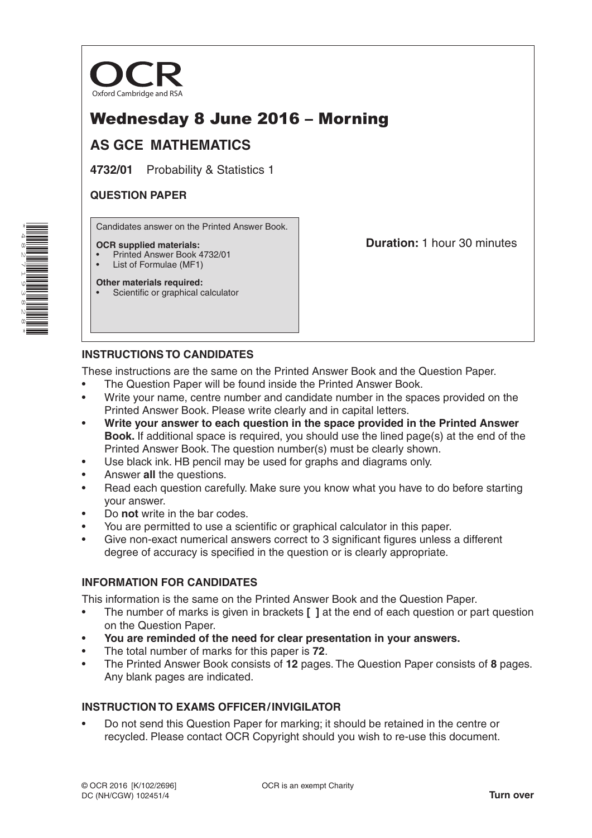

# Wednesday 8 June 2016 – Morning

# **AS GCE MATHEMATICS**

**4732/01** Probability & Statistics 1

## **QUESTION PAPER**

Candidates answer on the Printed Answer Book.

#### **OCR supplied materials:**

- Printed Answer Book 4732/01
- List of Formulae (MF1)

**Duration:** 1 hour 30 minutes

#### **Other materials required:** Scientific or graphical calculator

## **INSTRUCTIONS TO CANDIDATES**

These instructions are the same on the Printed Answer Book and the Question Paper.

- The Question Paper will be found inside the Printed Answer Book.
- Write your name, centre number and candidate number in the spaces provided on the Printed Answer Book. Please write clearly and in capital letters.
- **Write your answer to each question in the space provided in the Printed Answer Book.** If additional space is required, you should use the lined page(s) at the end of the Printed Answer Book. The question number(s) must be clearly shown.
- Use black ink. HB pencil may be used for graphs and diagrams only.
- Answer **all** the questions.
- Read each question carefully. Make sure you know what you have to do before starting your answer.
- Do **not** write in the bar codes.
- You are permitted to use a scientific or graphical calculator in this paper.
- Give non-exact numerical answers correct to 3 significant figures unless a different degree of accuracy is specified in the question or is clearly appropriate.

## **INFORMATION FOR CANDIDATES**

This information is the same on the Printed Answer Book and the Question Paper.

- The number of marks is given in brackets **[ ]** at the end of each question or part question on the Question Paper.
- **You are reminded of the need for clear presentation in your answers.**
- The total number of marks for this paper is **72**.
- The Printed Answer Book consists of **12** pages. The Question Paper consists of **8** pages. Any blank pages are indicated.

## **INSTRUCTION TO EXAMS OFFICER/INVIGILATOR**

• Do not send this Question Paper for marking; it should be retained in the centre or recycled. Please contact OCR Copyright should you wish to re-use this document.

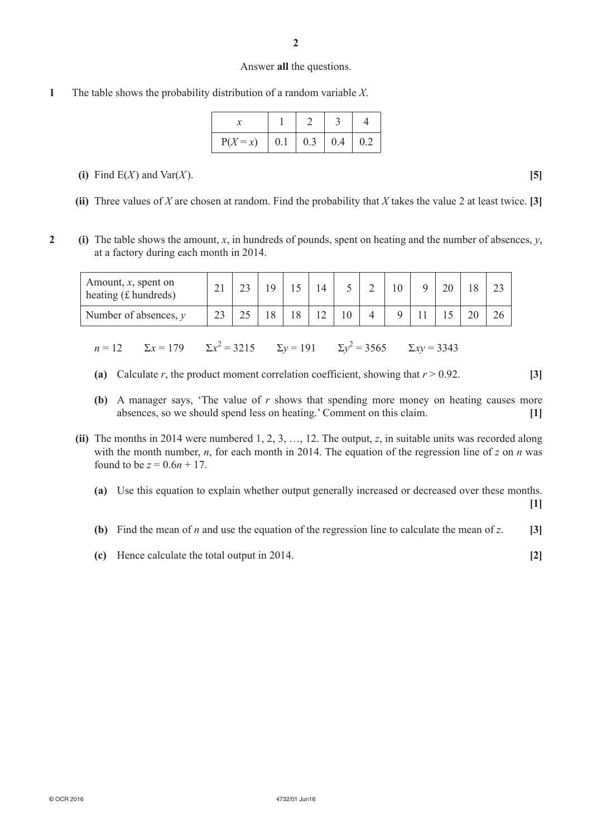#### Answer **all** the questions.

**1**  The table shows the probability distribution of a random variable *X*.

| $P(X=x)$ | 0.1 | 0.3 | $0.4\,$ | 0.2 |
|----------|-----|-----|---------|-----|

- **(i)** Find E(*X*) and Var(*X*). **[5]**
- **(ii)** Three values of *X* are chosen at random. Find the probability that *X* takes the value 2 at least twice. **[3]**
- **2** (i) The table shows the amount, *x*, in hundreds of pounds, spent on heating and the number of absences, *y*, at a factory during each month in 2014.

| Amount, $x$ , spent on<br>heating $(f.$ hundreds) |  |  |  |  |  |  |
|---------------------------------------------------|--|--|--|--|--|--|
| Number of absences, $\nu$                         |  |  |  |  |  |  |

- $n = 12$   $\Sigma x = 179$   $\Sigma x^2 = 3215$   $\Sigma y = 191$   $\Sigma y^2$  $\Sigma xv = 3343$ 
	- **(a)** Calculate *r*, the product moment correlation coefficient, showing that  $r > 0.92$ . [3]
	- **(b)** A manager says, 'The value of  $r$  shows that spending more money on heating causes more absences, so we should spend less on heating.' Comment on this claim. **[1]**
	- **(ii)** The months in 2014 were numbered  $1, 2, 3, \ldots, 12$ . The output, *z*, in suitable units was recorded along with the month number, *n*, for each month in 2014. The equation of the regression line of *z* on *n* was found to be  $z = 0.6n + 17$ .
		- **(a)** Use this equation to explain whether output generally increased or decreased over these months.

**[1]**

- **(b)** Find the mean of *n* and use the equation of the regression line to calculate the mean of *z*. **[3]**
- **(c)** Hence calculate the total output in 2014. **[2]**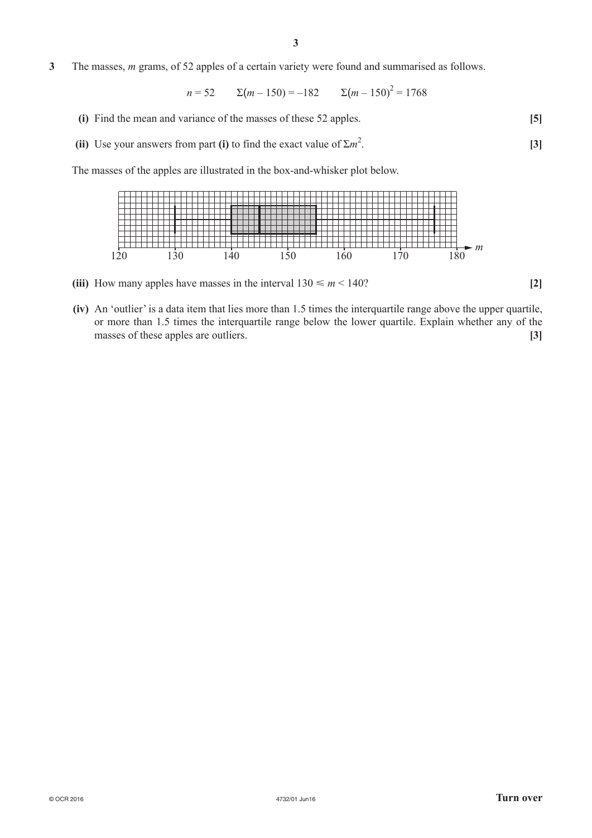**3**  The masses, *m* grams, of 52 apples of a certain variety were found and summarised as follows.

$$
n = 52 \qquad \Sigma(m - 150) = -182 \qquad \Sigma(m - 150)^{2} = 1768
$$

- **(i)** Find the mean and variance of the masses of these 52 apples. **[5]**
- **(ii)** Use your answers from part **(i)** to find the exact value of  $\Sigma m^2$ . **[3]**

The masses of the apples are illustrated in the box-and-whisker plot below.



**(iii)** How many apples have masses in the interval  $130 \le m \le 140$ ? [2]

**(iv)** An 'outlier' is a data item that lies more than 1.5 times the interquartile range above the upper quartile, or more than 1.5 times the interquartile range below the lower quartile. Explain whether any of the masses of these apples are outliers. **[3]**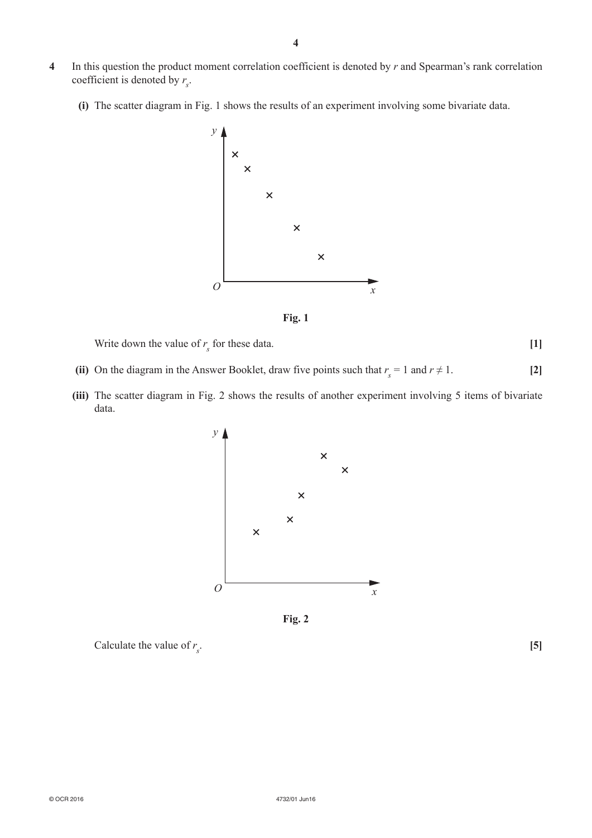- **4**  In this question the product moment correlation coefficient is denoted by *r* and Spearman's rank correlation coefficient is denoted by  $r_s$ .
	- **(i)** The scatter diagram in Fig. 1 shows the results of an experiment involving some bivariate data.





Write down the value of  $r_s$  for these data.  $\begin{bmatrix} 1 \end{bmatrix}$ 

- **(ii)** On the diagram in the Answer Booklet, draw five points such that  $r_s = 1$  and  $r \neq 1$ . [2]
	- (iii) The scatter diagram in Fig. 2 shows the results of another experiment involving 5 items of bivariate data.



**Fig. 2**

Calculate the value of  $r<sub>s</sub>$ 

. **[5]**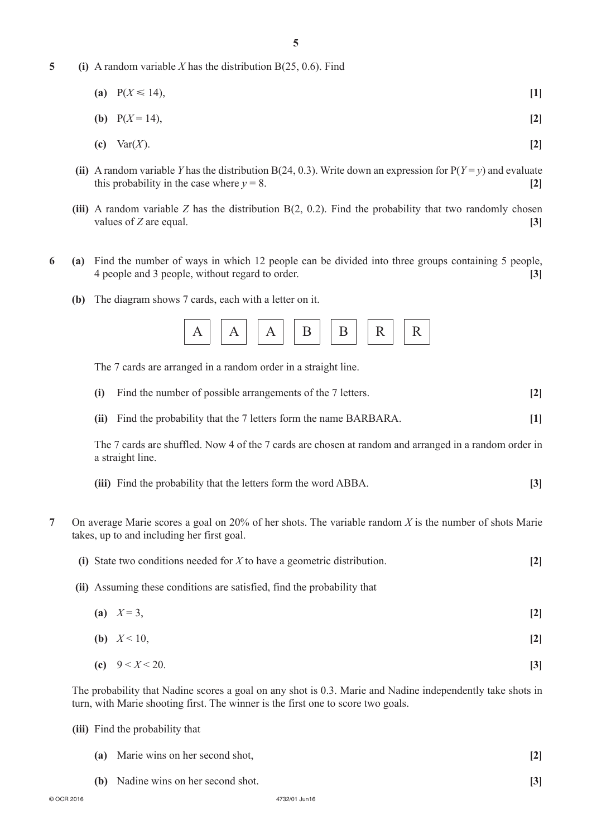- **5** (i) A random variable *X* has the distribution B(25, 0.6). Find
	- **(a)**  $P(X \le 14)$ , **[1]**
	- **(b)**  $P(X = 14)$ , [2]
	- $\textbf{(c)} \quad \text{Var}(X)$ . **[2]**
	- **(ii)** A random variable *Y* has the distribution B(24, 0.3). Write down an expression for  $P(Y = y)$  and evaluate this probability in the case where  $y = 8$ . **[2]**
	- **(iii)** A random variable *Z* has the distribution  $B(2, 0.2)$ . Find the probability that two randomly chosen values of *Z* are equal. **[3]**  $\qquad \qquad$  [3]
- **6** (a) Find the number of ways in which 12 people can be divided into three groups containing 5 people, 4 people and 3 people, without regard to order. **[3]**
	- **(b)** The diagram shows 7 cards, each with a letter on it.



The 7 cards are arranged in a random order in a straight line.

- **(i)** Find the number of possible arrangements of the 7 letters. **[2]**
- **(ii)** Find the probability that the 7 letters form the name BARBARA. **[1]**

The 7 cards are shuffled. Now 4 of the 7 cards are chosen at random and arranged in a random order in a straight line.

- **(iii)** Find the probability that the letters form the word ABBA. **[3]**
- **7**  On average Marie scores a goal on 20% of her shots. The variable random *X* is the number of shots Marie takes, up to and including her first goal.
	- **(i)** State two conditions needed for *X* to have a geometric distribution. **[2]**
	- **(ii)** Assuming these conditions are satisfied, find the probability that
- **(a)**  $X=3$ , [2]
- **(b)**  $X < 10$ , **[2]** 
	- **(c)**  $9 \le X \le 20$ .

The probability that Nadine scores a goal on any shot is 0.3. Marie and Nadine independently take shots in turn, with Marie shooting first. The winner is the first one to score two goals.

**(iii)** Find the probability that

| (a) Marie wins on her second shot,  |  |
|-------------------------------------|--|
| (b) Nadine wins on her second shot. |  |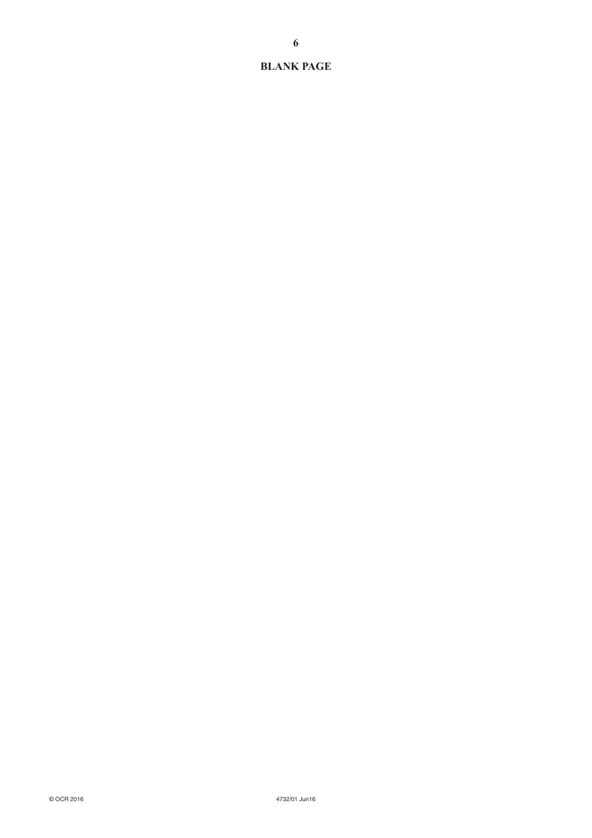#### **BLANK PAGE**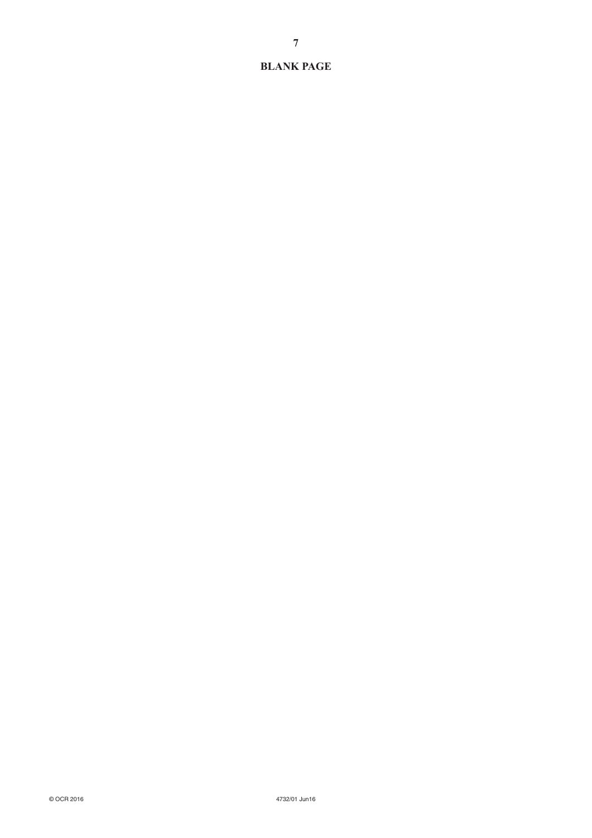#### **BLANK PAGE**